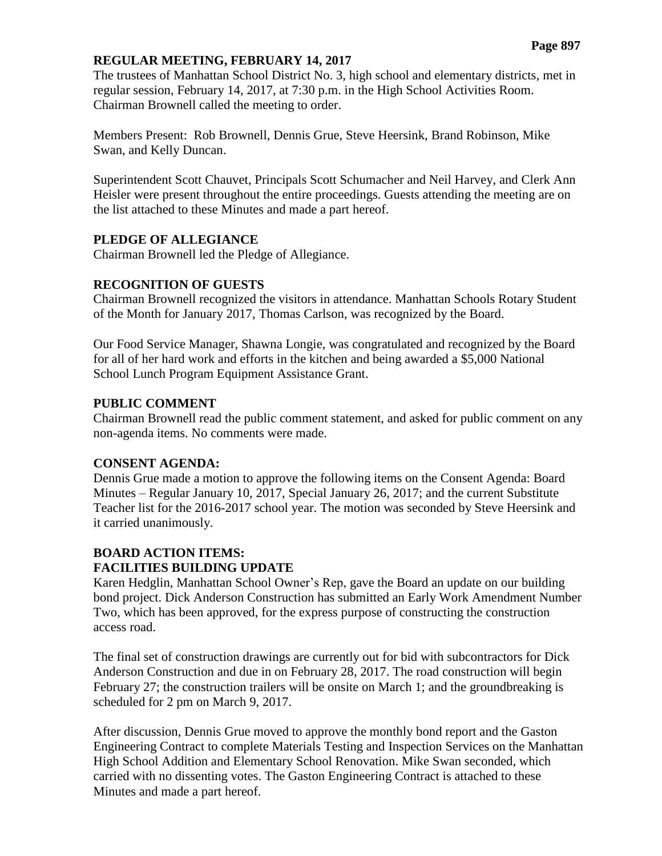#### **REGULAR MEETING, FEBRUARY 14, 2017**

The trustees of Manhattan School District No. 3, high school and elementary districts, met in regular session, February 14, 2017, at 7:30 p.m. in the High School Activities Room. Chairman Brownell called the meeting to order.

Members Present: Rob Brownell, Dennis Grue, Steve Heersink, Brand Robinson, Mike Swan, and Kelly Duncan.

Superintendent Scott Chauvet, Principals Scott Schumacher and Neil Harvey, and Clerk Ann Heisler were present throughout the entire proceedings. Guests attending the meeting are on the list attached to these Minutes and made a part hereof.

#### **PLEDGE OF ALLEGIANCE**

Chairman Brownell led the Pledge of Allegiance.

#### **RECOGNITION OF GUESTS**

Chairman Brownell recognized the visitors in attendance. Manhattan Schools Rotary Student of the Month for January 2017, Thomas Carlson, was recognized by the Board.

Our Food Service Manager, Shawna Longie, was congratulated and recognized by the Board for all of her hard work and efforts in the kitchen and being awarded a \$5,000 National School Lunch Program Equipment Assistance Grant.

#### **PUBLIC COMMENT**

Chairman Brownell read the public comment statement, and asked for public comment on any non-agenda items. No comments were made.

#### **CONSENT AGENDA:**

Dennis Grue made a motion to approve the following items on the Consent Agenda: Board Minutes – Regular January 10, 2017, Special January 26, 2017; and the current Substitute Teacher list for the 2016-2017 school year. The motion was seconded by Steve Heersink and it carried unanimously.

# **BOARD ACTION ITEMS: FACILITIES BUILDING UPDATE**

Karen Hedglin, Manhattan School Owner's Rep, gave the Board an update on our building bond project. Dick Anderson Construction has submitted an Early Work Amendment Number Two, which has been approved, for the express purpose of constructing the construction access road.

The final set of construction drawings are currently out for bid with subcontractors for Dick Anderson Construction and due in on February 28, 2017. The road construction will begin February 27; the construction trailers will be onsite on March 1; and the groundbreaking is scheduled for 2 pm on March 9, 2017.

After discussion, Dennis Grue moved to approve the monthly bond report and the Gaston Engineering Contract to complete Materials Testing and Inspection Services on the Manhattan High School Addition and Elementary School Renovation. Mike Swan seconded, which carried with no dissenting votes. The Gaston Engineering Contract is attached to these Minutes and made a part hereof.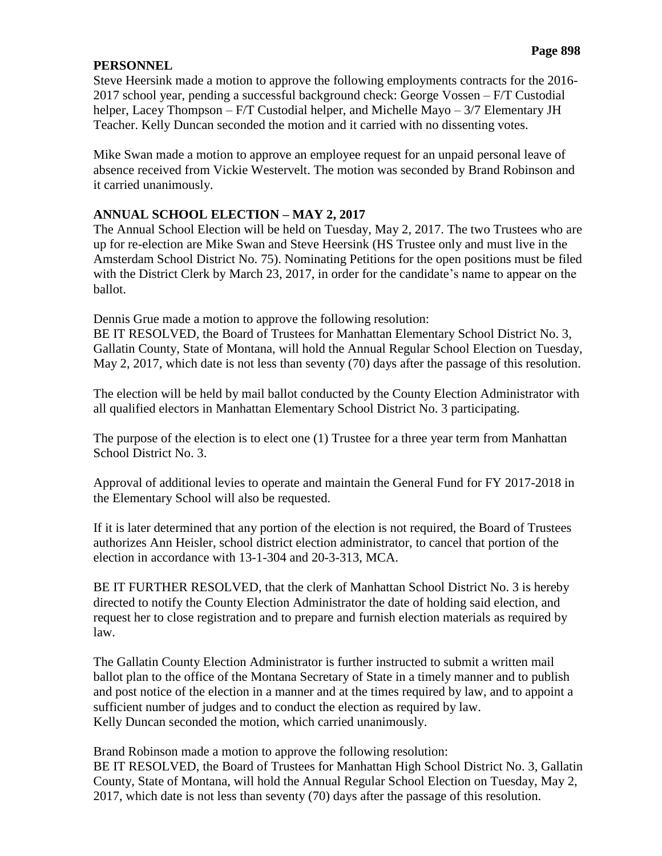### **PERSONNEL**

Steve Heersink made a motion to approve the following employments contracts for the 2016- 2017 school year, pending a successful background check: George Vossen – F/T Custodial helper, Lacey Thompson – F/T Custodial helper, and Michelle Mayo – 3/7 Elementary JH Teacher. Kelly Duncan seconded the motion and it carried with no dissenting votes.

Mike Swan made a motion to approve an employee request for an unpaid personal leave of absence received from Vickie Westervelt. The motion was seconded by Brand Robinson and it carried unanimously.

# **ANNUAL SCHOOL ELECTION – MAY 2, 2017**

The Annual School Election will be held on Tuesday, May 2, 2017. The two Trustees who are up for re-election are Mike Swan and Steve Heersink (HS Trustee only and must live in the Amsterdam School District No. 75). Nominating Petitions for the open positions must be filed with the District Clerk by March 23, 2017, in order for the candidate's name to appear on the ballot.

Dennis Grue made a motion to approve the following resolution:

BE IT RESOLVED, the Board of Trustees for Manhattan Elementary School District No. 3, Gallatin County, State of Montana, will hold the Annual Regular School Election on Tuesday, May 2, 2017, which date is not less than seventy (70) days after the passage of this resolution.

The election will be held by mail ballot conducted by the County Election Administrator with all qualified electors in Manhattan Elementary School District No. 3 participating.

The purpose of the election is to elect one (1) Trustee for a three year term from Manhattan School District No. 3.

Approval of additional levies to operate and maintain the General Fund for FY 2017-2018 in the Elementary School will also be requested.

If it is later determined that any portion of the election is not required, the Board of Trustees authorizes Ann Heisler, school district election administrator, to cancel that portion of the election in accordance with 13-1-304 and 20-3-313, MCA.

BE IT FURTHER RESOLVED, that the clerk of Manhattan School District No. 3 is hereby directed to notify the County Election Administrator the date of holding said election, and request her to close registration and to prepare and furnish election materials as required by law.

The Gallatin County Election Administrator is further instructed to submit a written mail ballot plan to the office of the Montana Secretary of State in a timely manner and to publish and post notice of the election in a manner and at the times required by law, and to appoint a sufficient number of judges and to conduct the election as required by law. Kelly Duncan seconded the motion, which carried unanimously.

Brand Robinson made a motion to approve the following resolution: BE IT RESOLVED, the Board of Trustees for Manhattan High School District No. 3, Gallatin County, State of Montana, will hold the Annual Regular School Election on Tuesday, May 2, 2017, which date is not less than seventy (70) days after the passage of this resolution.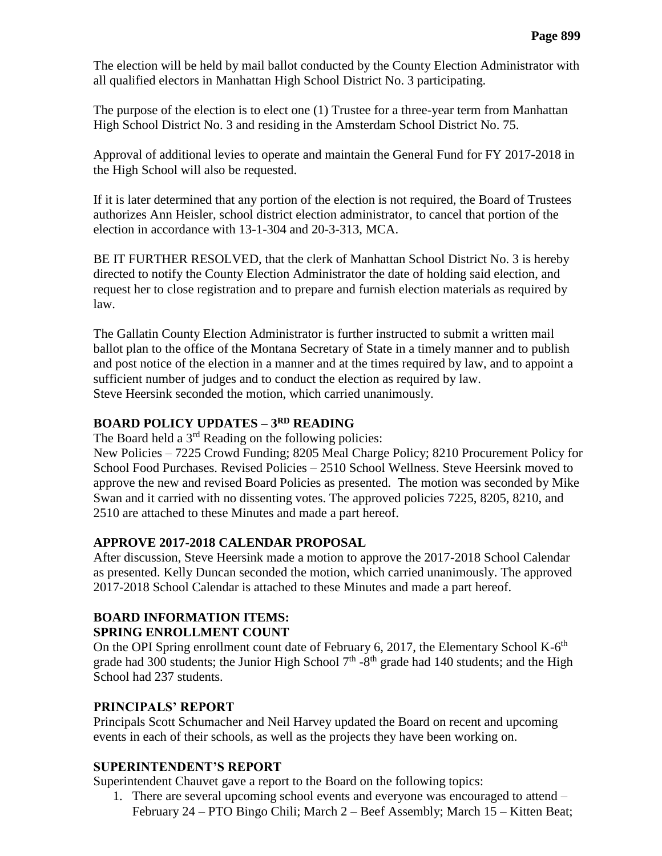The election will be held by mail ballot conducted by the County Election Administrator with all qualified electors in Manhattan High School District No. 3 participating.

The purpose of the election is to elect one (1) Trustee for a three-year term from Manhattan High School District No. 3 and residing in the Amsterdam School District No. 75.

Approval of additional levies to operate and maintain the General Fund for FY 2017-2018 in the High School will also be requested.

If it is later determined that any portion of the election is not required, the Board of Trustees authorizes Ann Heisler, school district election administrator, to cancel that portion of the election in accordance with 13-1-304 and 20-3-313, MCA.

BE IT FURTHER RESOLVED, that the clerk of Manhattan School District No. 3 is hereby directed to notify the County Election Administrator the date of holding said election, and request her to close registration and to prepare and furnish election materials as required by law.

The Gallatin County Election Administrator is further instructed to submit a written mail ballot plan to the office of the Montana Secretary of State in a timely manner and to publish and post notice of the election in a manner and at the times required by law, and to appoint a sufficient number of judges and to conduct the election as required by law. Steve Heersink seconded the motion, which carried unanimously.

# **BOARD POLICY UPDATES –**  $3^{RD}$  **READING**

The Board held a  $3<sup>rd</sup>$  Reading on the following policies:

New Policies – 7225 Crowd Funding; 8205 Meal Charge Policy; 8210 Procurement Policy for School Food Purchases. Revised Policies – 2510 School Wellness. Steve Heersink moved to approve the new and revised Board Policies as presented. The motion was seconded by Mike Swan and it carried with no dissenting votes. The approved policies 7225, 8205, 8210, and 2510 are attached to these Minutes and made a part hereof.

### **APPROVE 2017-2018 CALENDAR PROPOSAL**

After discussion, Steve Heersink made a motion to approve the 2017-2018 School Calendar as presented. Kelly Duncan seconded the motion, which carried unanimously. The approved 2017-2018 School Calendar is attached to these Minutes and made a part hereof.

# **BOARD INFORMATION ITEMS:**

### **SPRING ENROLLMENT COUNT**

On the OPI Spring enrollment count date of February 6, 2017, the Elementary School K-6<sup>th</sup> grade had 300 students; the Junior High School  $7<sup>th</sup>$  -8<sup>th</sup> grade had 140 students; and the High School had 237 students.

# **PRINCIPALS' REPORT**

Principals Scott Schumacher and Neil Harvey updated the Board on recent and upcoming events in each of their schools, as well as the projects they have been working on.

### **SUPERINTENDENT'S REPORT**

Superintendent Chauvet gave a report to the Board on the following topics:

1. There are several upcoming school events and everyone was encouraged to attend – February 24 – PTO Bingo Chili; March 2 – Beef Assembly; March 15 – Kitten Beat;